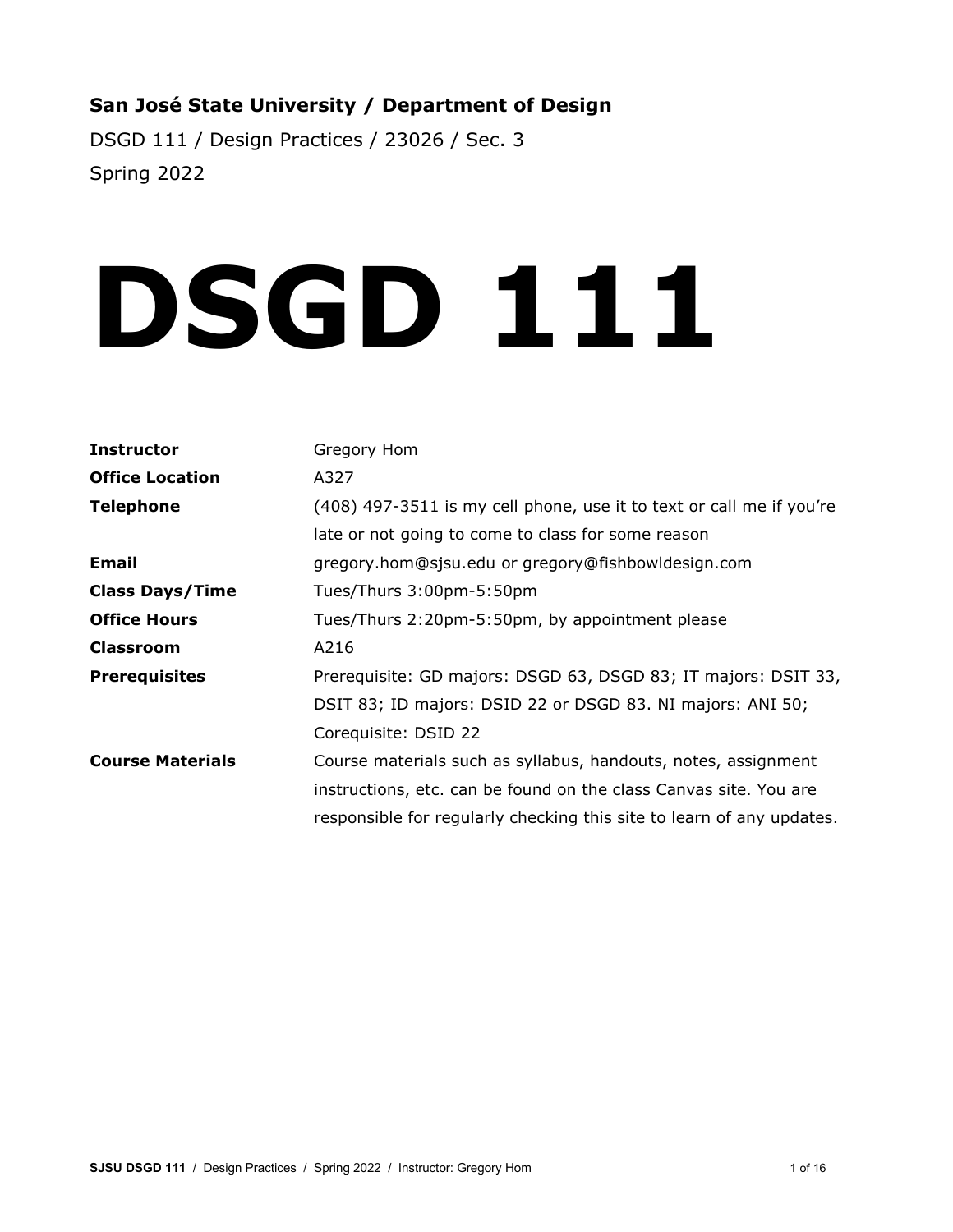# **San José State University / Department of Design**

DSGD 111 / Design Practices / 23026 / Sec. 3 Spring 2022

# **DSGD 111**

| <b>Instructor</b>       | Gregory Hom                                                           |
|-------------------------|-----------------------------------------------------------------------|
| <b>Office Location</b>  | A327                                                                  |
| <b>Telephone</b>        | (408) 497-3511 is my cell phone, use it to text or call me if you're  |
|                         | late or not going to come to class for some reason                    |
| <b>Email</b>            | gregory.hom@sjsu.edu or gregory@fishbowldesign.com                    |
| <b>Class Days/Time</b>  | Tues/Thurs 3:00pm-5:50pm                                              |
| <b>Office Hours</b>     | Tues/Thurs 2:20pm-5:50pm, by appointment please                       |
| <b>Classroom</b>        | A216                                                                  |
| <b>Prerequisites</b>    | Prerequisite: GD majors: DSGD 63, DSGD 83; IT majors: DSIT 33,        |
|                         | DSIT 83; ID majors: DSID 22 or DSGD 83. NI majors: ANI 50;            |
|                         | Corequisite: DSID 22                                                  |
| <b>Course Materials</b> | Course materials such as syllabus, handouts, notes, assignment        |
|                         | instructions, etc. can be found on the class Canvas site. You are     |
|                         | responsible for regularly checking this site to learn of any updates. |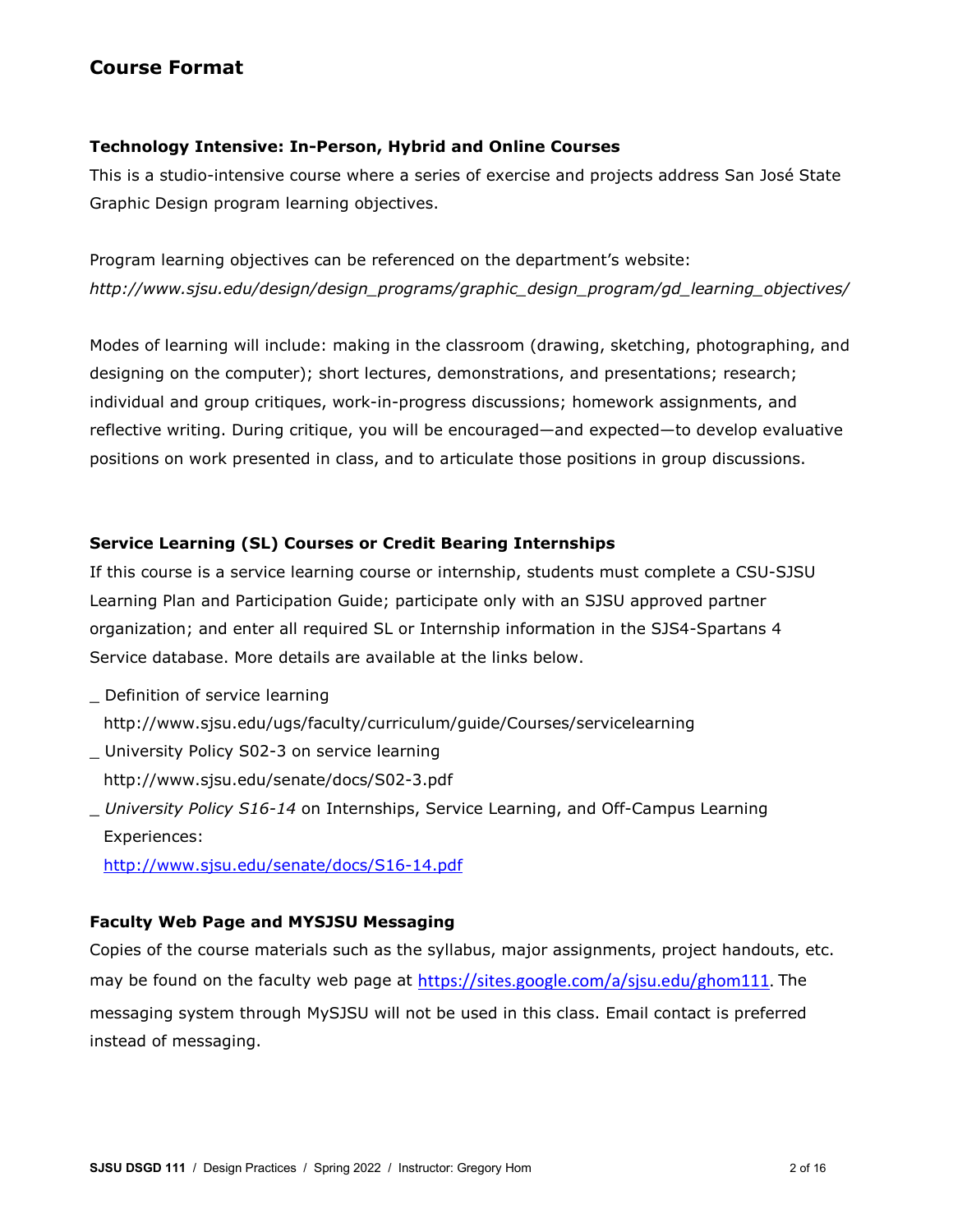# **Course Format**

# **Technology Intensive: In-Person, Hybrid and Online Courses**

This is a studio-intensive course where a series of exercise and projects address San José State Graphic Design program learning objectives.

Program learning objectives can be referenced on the department's website: *http://www.sjsu.edu/design/design\_programs/graphic\_design\_program/gd\_learning\_objectives/*

Modes of learning will include: making in the classroom (drawing, sketching, photographing, and designing on the computer); short lectures, demonstrations, and presentations; research; individual and group critiques, work-in-progress discussions; homework assignments, and reflective writing. During critique, you will be encouraged—and expected—to develop evaluative positions on work presented in class, and to articulate those positions in group discussions.

# **Service Learning (SL) Courses or Credit Bearing Internships**

If this course is a service learning course or internship, students must complete a CSU-SJSU Learning Plan and Participation Guide; participate only with an SJSU approved partner organization; and enter all required SL or Internship information in the SJS4-Spartans 4 Service database. More details are available at the links below.

- \_ Definition of service learning http://www.sjsu.edu/ugs/faculty/curriculum/guide/Courses/servicelearning
- \_ University Policy S02-3 on service learning http://www.sjsu.edu/senate/docs/S02-3.pdf
- \_ *University Policy S16-14* on Internships, Service Learning, and Off-Campus Learning Experiences:

<http://www.sjsu.edu/senate/docs/S16-14.pdf>

# **Faculty Web Page and MYSJSU Messaging**

Copies of the course materials such as the syllabus, major assignments, project handouts, etc. may be found on the faculty web page at [https://sites.google.com/a/sjsu.edu/ghom111.](https://sites.google.com/a/sjsu.edu/ghom111) The messaging system through MySJSU will not be used in this class. Email contact is preferred instead of messaging.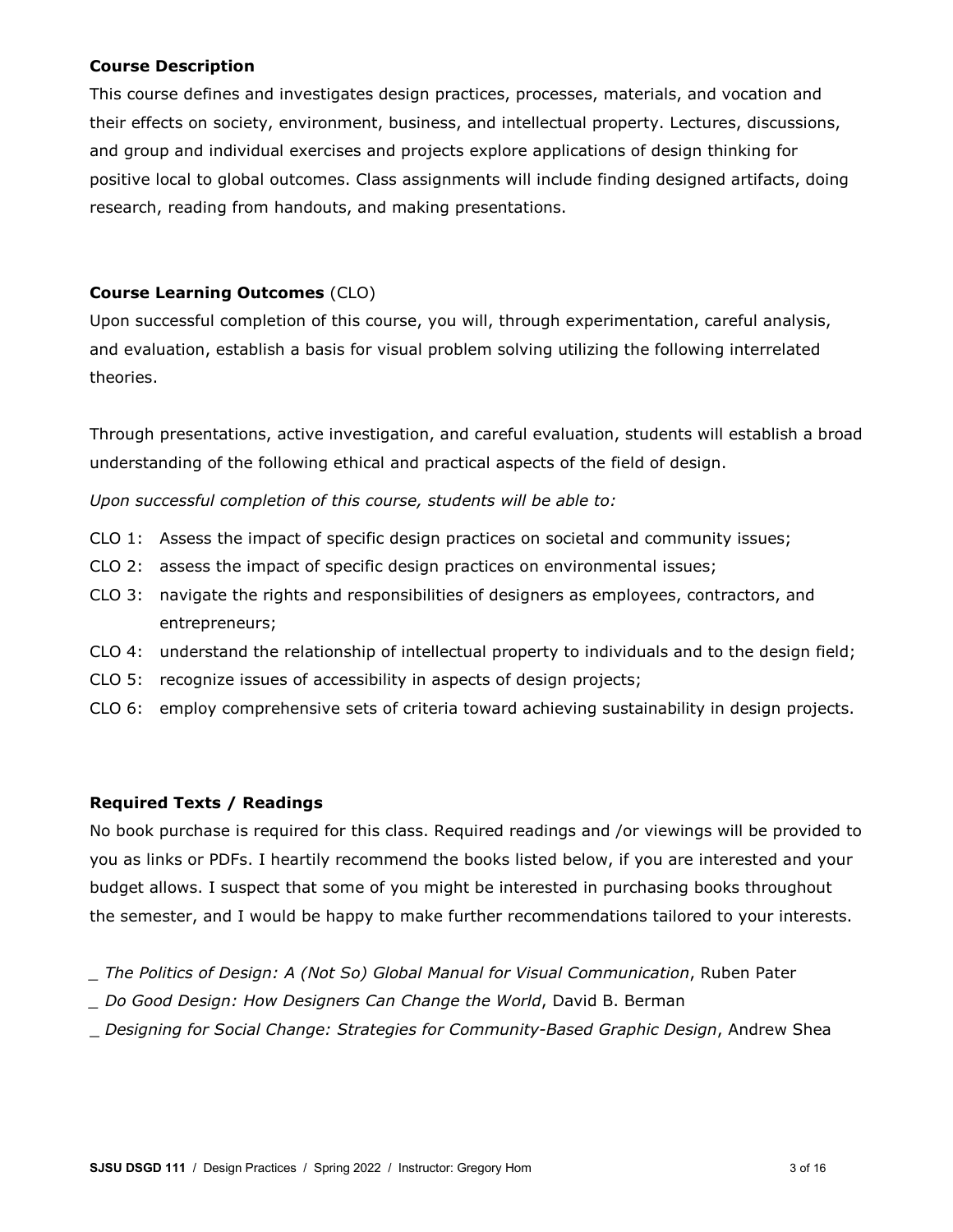## **Course Description**

This course defines and investigates design practices, processes, materials, and vocation and their effects on society, environment, business, and intellectual property. Lectures, discussions, and group and individual exercises and projects explore applications of design thinking for positive local to global outcomes. Class assignments will include finding designed artifacts, doing research, reading from handouts, and making presentations.

## **Course Learning Outcomes** (CLO)

Upon successful completion of this course, you will, through experimentation, careful analysis, and evaluation, establish a basis for visual problem solving utilizing the following interrelated theories.

Through presentations, active investigation, and careful evaluation, students will establish a broad understanding of the following ethical and practical aspects of the field of design.

*Upon successful completion of this course, students will be able to:*

- CLO 1: Assess the impact of specific design practices on societal and community issues;
- CLO 2: assess the impact of specific design practices on environmental issues;
- CLO 3: navigate the rights and responsibilities of designers as employees, contractors, and entrepreneurs;
- CLO 4: understand the relationship of intellectual property to individuals and to the design field;
- CLO 5: recognize issues of accessibility in aspects of design projects;
- CLO 6: employ comprehensive sets of criteria toward achieving sustainability in design projects.

## **Required Texts / Readings**

No book purchase is required for this class. Required readings and /or viewings will be provided to you as links or PDFs. I heartily recommend the books listed below, if you are interested and your budget allows. I suspect that some of you might be interested in purchasing books throughout the semester, and I would be happy to make further recommendations tailored to your interests.

- *\_ The Politics of Design: A (Not So) Global Manual for Visual Communication*, Ruben Pater
- *\_ Do Good Design: How Designers Can Change the World*, David B. Berman
- \_ *Designing for Social Change: Strategies for Community-Based Graphic Design*, Andrew Shea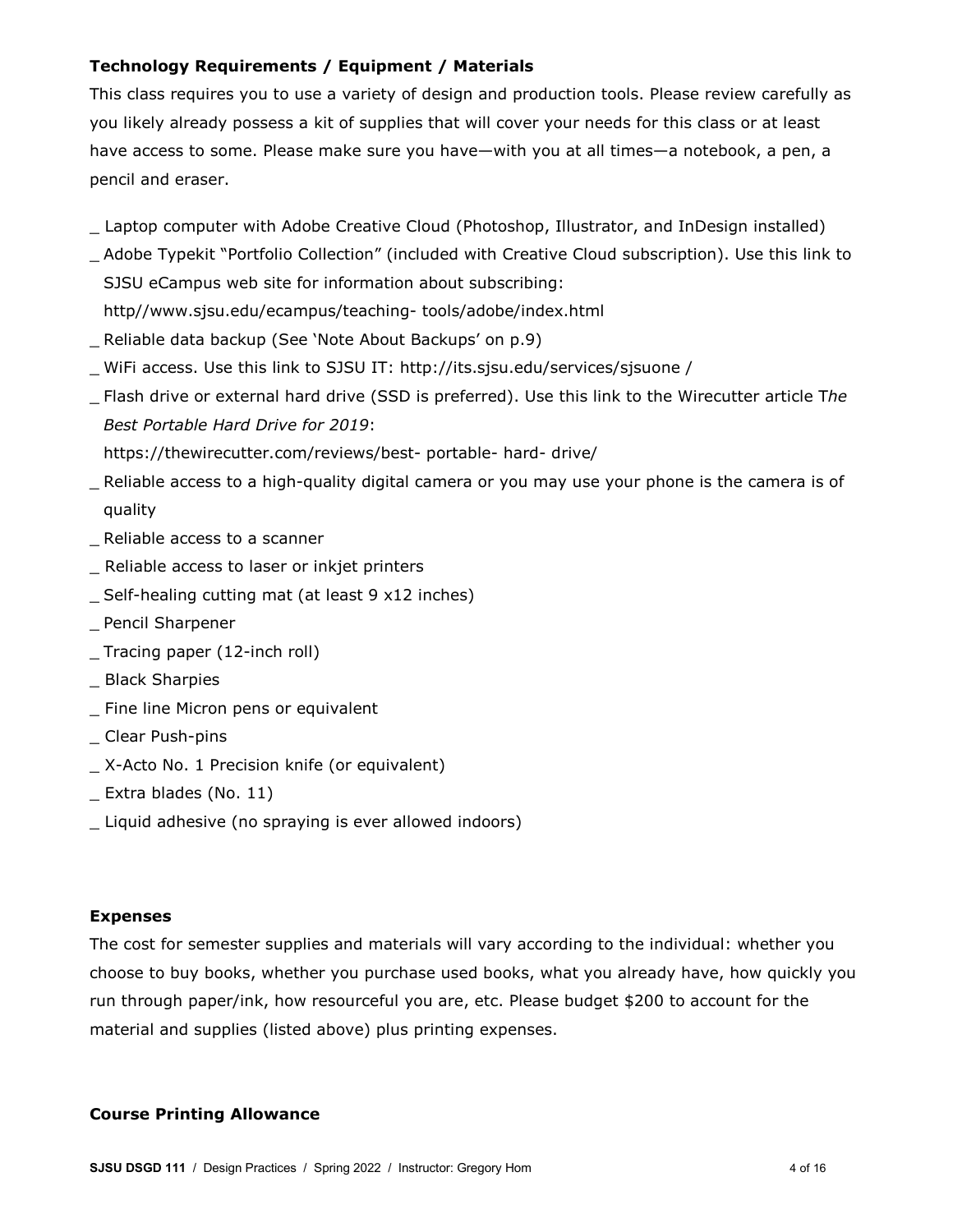# **Technology Requirements / Equipment / Materials**

This class requires you to use a variety of design and production tools. Please review carefully as you likely already possess a kit of supplies that will cover your needs for this class or at least have access to some. Please make sure you have—with you at all times—a notebook, a pen, a pencil and eraser.

- Laptop computer with Adobe Creative Cloud (Photoshop, Illustrator, and InDesign installed)
- \_ Adobe Typekit "Portfolio Collection" (included with Creative Cloud subscription). Use this link to SJSU eCampus web site for information about subscribing: http//www.sjsu.edu/ecampus/teaching- tools/adobe/index.html
- Reliable data backup (See 'Note About Backups' on p.9)
- \_ WiFi access. Use this link to SJSU IT: http://its.sjsu.edu/services/sjsuone /
- \_ Flash drive or external hard drive (SSD is preferred). Use this link to the Wirecutter article T*he Best Portable Hard Drive for 2019*:

https://thewirecutter.com/reviews/best- portable- hard- drive/

- \_ Reliable access to a high-quality digital camera or you may use your phone is the camera is of quality
- \_ Reliable access to a scanner
- \_ Reliable access to laser or inkjet printers
- \_ Self-healing cutting mat (at least 9 x12 inches)
- \_ Pencil Sharpener
- \_ Tracing paper (12-inch roll)
- \_ Black Sharpies
- \_ Fine line Micron pens or equivalent
- \_ Clear Push-pins
- \_ X-Acto No. 1 Precision knife (or equivalent)
- \_ Extra blades (No. 11)
- \_ Liquid adhesive (no spraying is ever allowed indoors)

## **Expenses**

The cost for semester supplies and materials will vary according to the individual: whether you choose to buy books, whether you purchase used books, what you already have, how quickly you run through paper/ink, how resourceful you are, etc. Please budget \$200 to account for the material and supplies (listed above) plus printing expenses.

## **Course Printing Allowance**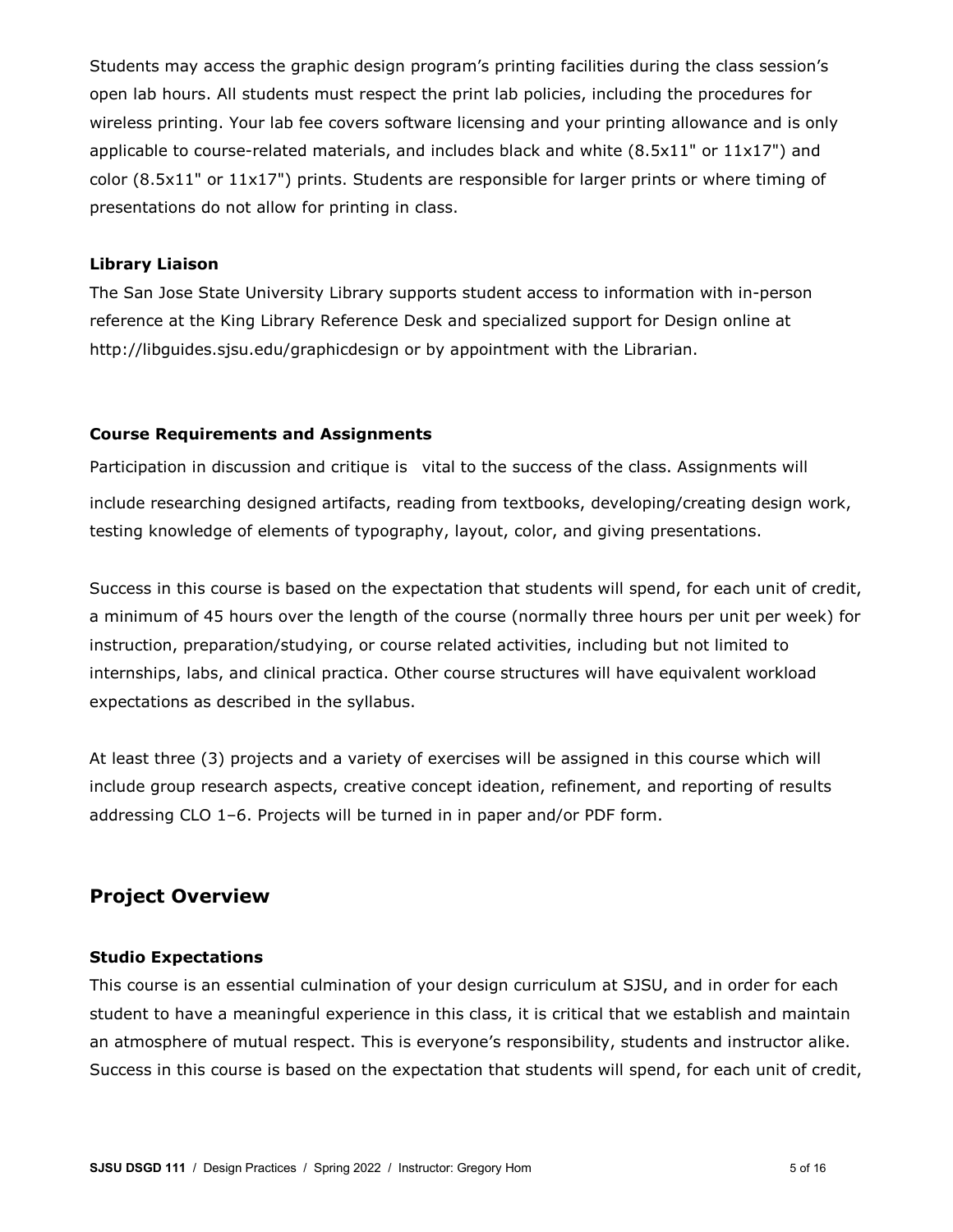Students may access the graphic design program's printing facilities during the class session's open lab hours. All students must respect the print lab policies, including the procedures for wireless printing. Your lab fee covers software licensing and your printing allowance and is only applicable to course-related materials, and includes black and white (8.5x11" or 11x17") and color (8.5x11" or 11x17") prints. Students are responsible for larger prints or where timing of presentations do not allow for printing in class.

#### **Library Liaison**

The San Jose State University Library supports student access to information with in-person reference at the King Library Reference Desk and specialized support for Design online at http://libguides.sjsu.edu/graphicdesign or by appointment with the Librarian.

#### **Course Requirements and Assignments**

Participation in discussion and critique is vital to the success of the class. Assignments will include researching designed artifacts, reading from textbooks, developing/creating design work, testing knowledge of elements of typography, layout, color, and giving presentations.

Success in this course is based on the expectation that students will spend, for each unit of credit, a minimum of 45 hours over the length of the course (normally three hours per unit per week) for instruction, preparation/studying, or course related activities, including but not limited to internships, labs, and clinical practica. Other course structures will have equivalent workload expectations as described in the syllabus.

At least three (3) projects and a variety of exercises will be assigned in this course which will include group research aspects, creative concept ideation, refinement, and reporting of results addressing CLO 1–6. Projects will be turned in in paper and/or PDF form.

# **Project Overview**

## **Studio Expectations**

This course is an essential culmination of your design curriculum at SJSU, and in order for each student to have a meaningful experience in this class, it is critical that we establish and maintain an atmosphere of mutual respect. This is everyone's responsibility, students and instructor alike. Success in this course is based on the expectation that students will spend, for each unit of credit,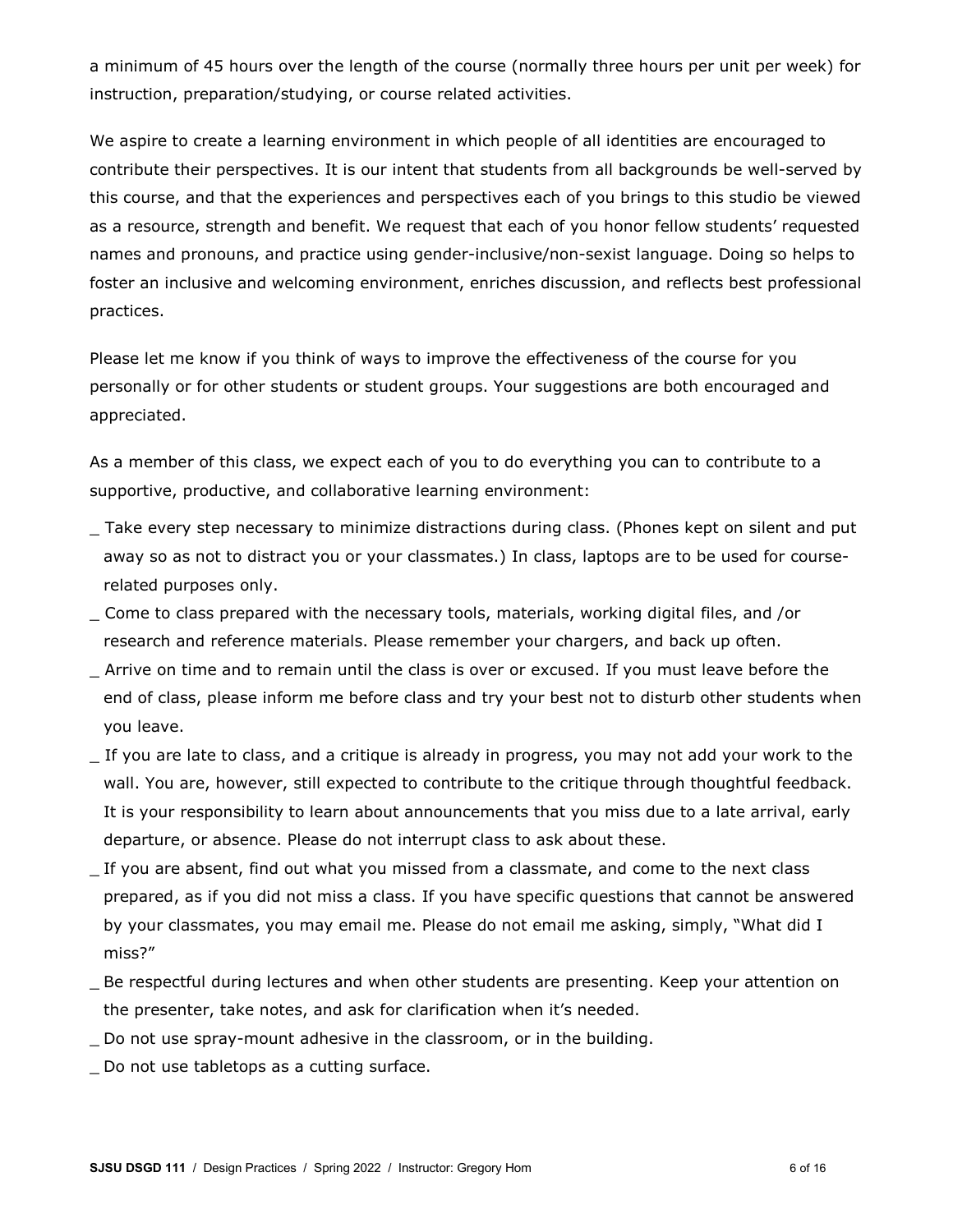a minimum of 45 hours over the length of the course (normally three hours per unit per week) for instruction, preparation/studying, or course related activities.

We aspire to create a learning environment in which people of all identities are encouraged to contribute their perspectives. It is our intent that students from all backgrounds be well-served by this course, and that the experiences and perspectives each of you brings to this studio be viewed as a resource, strength and benefit. We request that each of you honor fellow students' requested names and pronouns, and practice using gender-inclusive/non-sexist language. Doing so helps to foster an inclusive and welcoming environment, enriches discussion, and reflects best professional practices.

Please let me know if you think of ways to improve the effectiveness of the course for you personally or for other students or student groups. Your suggestions are both encouraged and appreciated.

As a member of this class, we expect each of you to do everything you can to contribute to a supportive, productive, and collaborative learning environment:

- \_ Take every step necessary to minimize distractions during class. (Phones kept on silent and put away so as not to distract you or your classmates.) In class, laptops are to be used for courserelated purposes only.
- \_ Come to class prepared with the necessary tools, materials, working digital files, and /or research and reference materials. Please remember your chargers, and back up often.
- \_ Arrive on time and to remain until the class is over or excused. If you must leave before the end of class, please inform me before class and try your best not to disturb other students when you leave.
- If you are late to class, and a critique is already in progress, you may not add your work to the wall. You are, however, still expected to contribute to the critique through thoughtful feedback. It is your responsibility to learn about announcements that you miss due to a late arrival, early departure, or absence. Please do not interrupt class to ask about these.
- \_ If you are absent, find out what you missed from a classmate, and come to the next class prepared, as if you did not miss a class. If you have specific questions that cannot be answered by your classmates, you may email me. Please do not email me asking, simply, "What did I miss?"
- \_ Be respectful during lectures and when other students are presenting. Keep your attention on the presenter, take notes, and ask for clarification when it's needed.
- Do not use spray-mount adhesive in the classroom, or in the building.
- \_ Do not use tabletops as a cutting surface.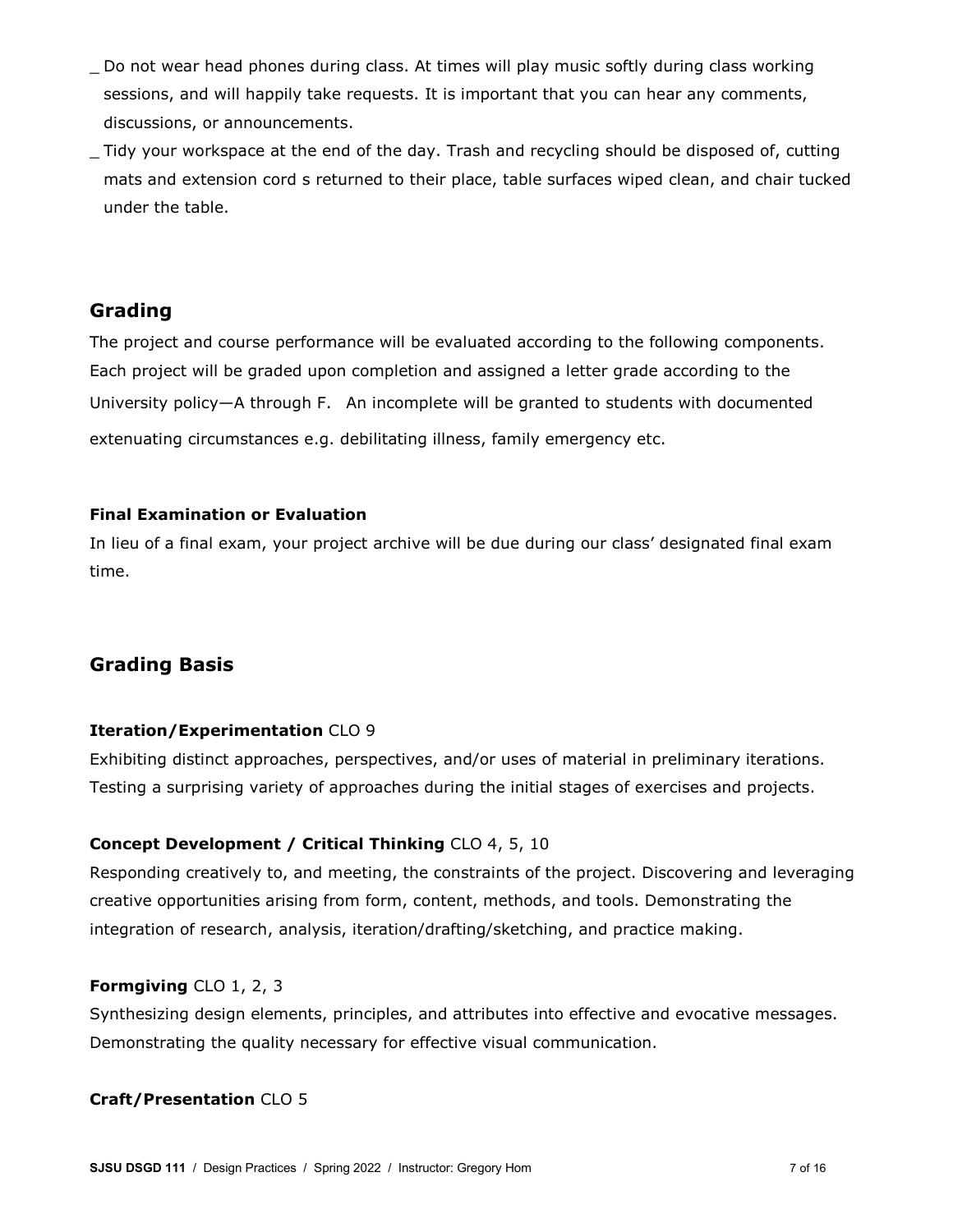- \_ Do not wear head phones during class. At times will play music softly during class working sessions, and will happily take requests. It is important that you can hear any comments, discussions, or announcements.
- \_ Tidy your workspace at the end of the day. Trash and recycling should be disposed of, cutting mats and extension cord s returned to their place, table surfaces wiped clean, and chair tucked under the table.

# **Grading**

The project and course performance will be evaluated according to the following components. Each project will be graded upon completion and assigned a letter grade according to the University policy—A through F. An incomplete will be granted to students with documented extenuating circumstances e.g. debilitating illness, family emergency etc.

# **Final Examination or Evaluation**

In lieu of a final exam, your project archive will be due during our class' designated final exam time.

# **Grading Basis**

# **Iteration/Experimentation** CLO 9

Exhibiting distinct approaches, perspectives, and/or uses of material in preliminary iterations. Testing a surprising variety of approaches during the initial stages of exercises and projects.

# **Concept Development / Critical Thinking** CLO 4, 5, 10

Responding creatively to, and meeting, the constraints of the project. Discovering and leveraging creative opportunities arising from form, content, methods, and tools. Demonstrating the integration of research, analysis, iteration/drafting/sketching, and practice making.

# **Formgiving** CLO 1, 2, 3

Synthesizing design elements, principles, and attributes into effective and evocative messages. Demonstrating the quality necessary for effective visual communication.

# **Craft/Presentation** CLO 5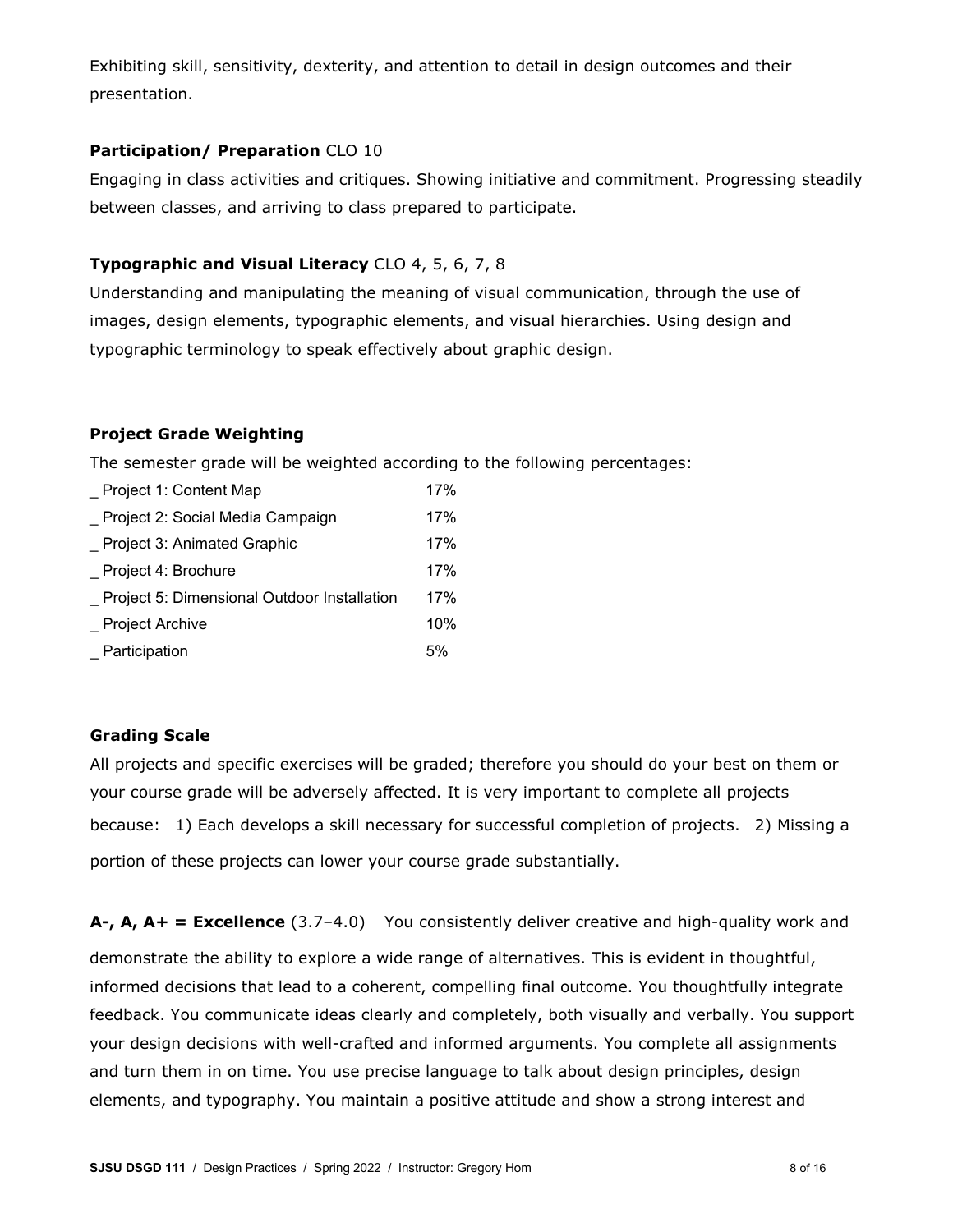Exhibiting skill, sensitivity, dexterity, and attention to detail in design outcomes and their presentation.

# **Participation/ Preparation** CLO 10

Engaging in class activities and critiques. Showing initiative and commitment. Progressing steadily between classes, and arriving to class prepared to participate.

# **Typographic and Visual Literacy** CLO 4, 5, 6, 7, 8

Understanding and manipulating the meaning of visual communication, through the use of images, design elements, typographic elements, and visual hierarchies. Using design and typographic terminology to speak effectively about graphic design.

# **Project Grade Weighting**

The semester grade will be weighted according to the following percentages:

| Project 1: Content Map                      |    |
|---------------------------------------------|----|
| Project 2: Social Media Campaign            |    |
| Project 3: Animated Graphic                 |    |
| Project 4: Brochure                         |    |
| Project 5: Dimensional Outdoor Installation |    |
| <b>Project Archive</b>                      |    |
| Participation                               | 5% |

# **Grading Scale**

All projects and specific exercises will be graded; therefore you should do your best on them or your course grade will be adversely affected. It is very important to complete all projects because: 1) Each develops a skill necessary for successful completion of projects. 2) Missing a portion of these projects can lower your course grade substantially.

**A-, A, A+ = Excellence** (3.7–4.0) You consistently deliver creative and high-quality work and demonstrate the ability to explore a wide range of alternatives. This is evident in thoughtful, informed decisions that lead to a coherent, compelling final outcome. You thoughtfully integrate feedback. You communicate ideas clearly and completely, both visually and verbally. You support your design decisions with well-crafted and informed arguments. You complete all assignments and turn them in on time. You use precise language to talk about design principles, design elements, and typography. You maintain a positive attitude and show a strong interest and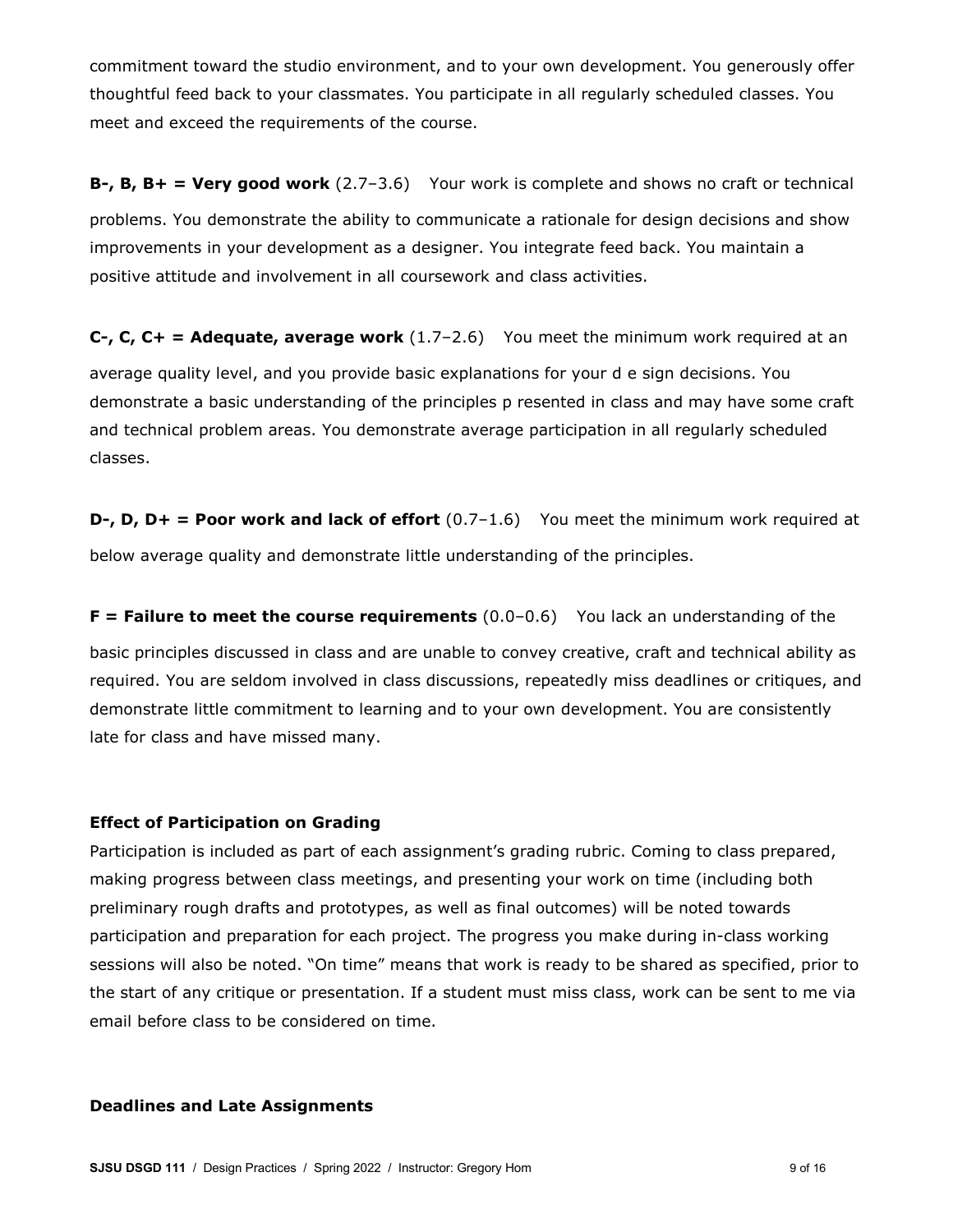commitment toward the studio environment, and to your own development. You generously offer thoughtful feed back to your classmates. You participate in all regularly scheduled classes. You meet and exceed the requirements of the course.

**B-, B, B+ = Very good work** (2.7–3.6) Your work is complete and shows no craft or technical problems. You demonstrate the ability to communicate a rationale for design decisions and show improvements in your development as a designer. You integrate feed back. You maintain a positive attitude and involvement in all coursework and class activities.

**C-, C, C+ = Adequate, average work** (1.7-2.6) You meet the minimum work required at an average quality level, and you provide basic explanations for your d e sign decisions. You demonstrate a basic understanding of the principles p resented in class and may have some craft and technical problem areas. You demonstrate average participation in all regularly scheduled classes.

**D-, D, D+ = Poor work and lack of effort** (0.7-1.6) You meet the minimum work required at below average quality and demonstrate little understanding of the principles.

**F** = Failure to meet the course requirements (0.0-0.6) You lack an understanding of the basic principles discussed in class and are unable to convey creative, craft and technical ability as required. You are seldom involved in class discussions, repeatedly miss deadlines or critiques, and demonstrate little commitment to learning and to your own development. You are consistently late for class and have missed many.

## **Effect of Participation on Grading**

Participation is included as part of each assignment's grading rubric. Coming to class prepared, making progress between class meetings, and presenting your work on time (including both preliminary rough drafts and prototypes, as well as final outcomes) will be noted towards participation and preparation for each project. The progress you make during in-class working sessions will also be noted. "On time" means that work is ready to be shared as specified, prior to the start of any critique or presentation. If a student must miss class, work can be sent to me via email before class to be considered on time.

#### **Deadlines and Late Assignments**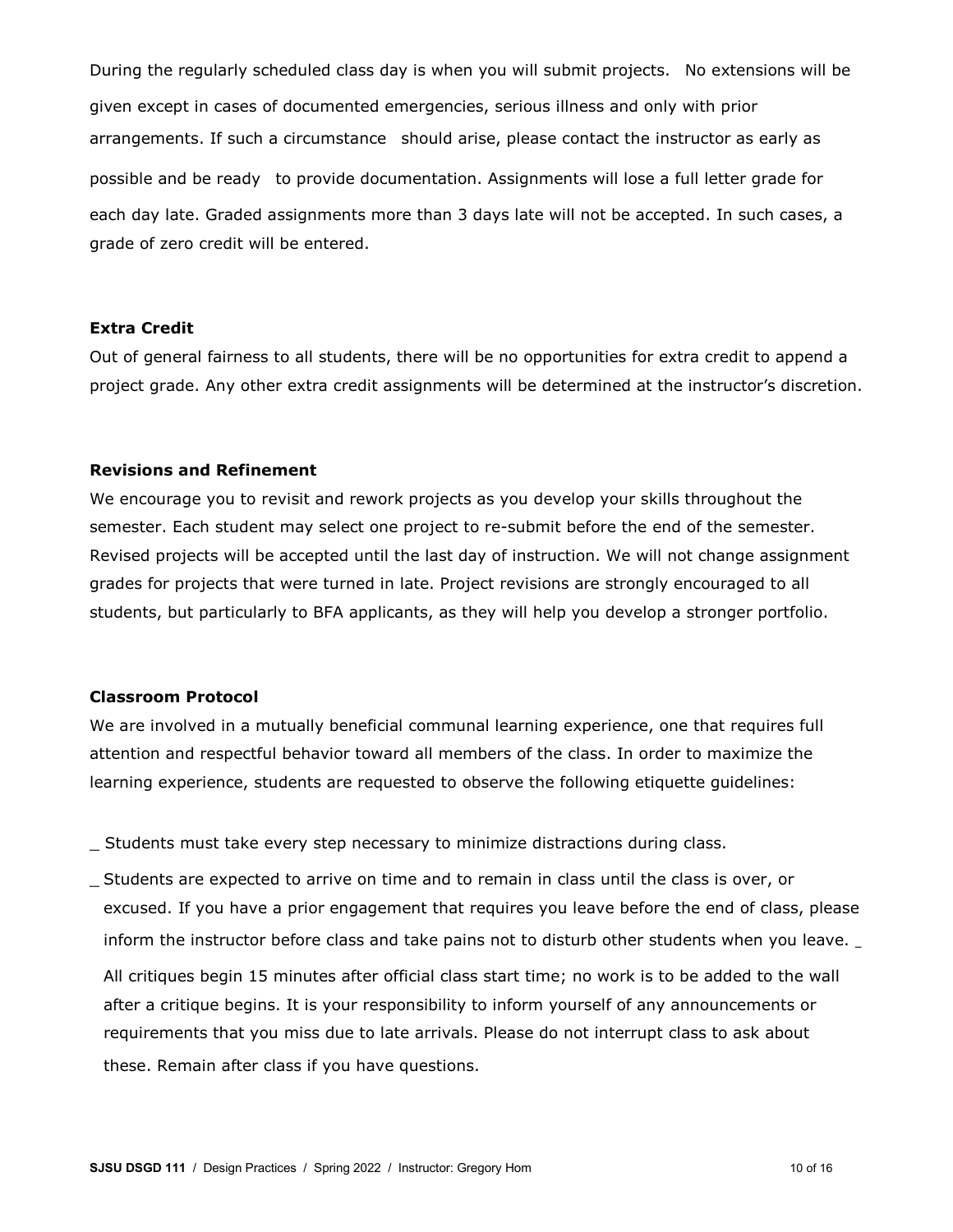During the regularly scheduled class day is when you will submit projects. No extensions will be given except in cases of documented emergencies, serious illness and only with prior arrangements. If such a circumstance should arise, please contact the instructor as early as possible and be ready to provide documentation. Assignments will lose a full letter grade for each day late. Graded assignments more than 3 days late will not be accepted. In such cases, a grade of zero credit will be entered.

#### **Extra Credit**

Out of general fairness to all students, there will be no opportunities for extra credit to append a project grade. Any other extra credit assignments will be determined at the instructor's discretion.

## **Revisions and Refinement**

We encourage you to revisit and rework projects as you develop your skills throughout the semester. Each student may select one project to re-submit before the end of the semester. Revised projects will be accepted until the last day of instruction. We will not change assignment grades for projects that were turned in late. Project revisions are strongly encouraged to all students, but particularly to BFA applicants, as they will help you develop a stronger portfolio.

#### **Classroom Protocol**

We are involved in a mutually beneficial communal learning experience, one that requires full attention and respectful behavior toward all members of the class. In order to maximize the learning experience, students are requested to observe the following etiquette guidelines:

\_ Students must take every step necessary to minimize distractions during class.

\_ Students are expected to arrive on time and to remain in class until the class is over, or excused. If you have a prior engagement that requires you leave before the end of class, please inform the instructor before class and take pains not to disturb other students when you leave. \_

All critiques begin 15 minutes after official class start time; no work is to be added to the wall after a critique begins. It is your responsibility to inform yourself of any announcements or requirements that you miss due to late arrivals. Please do not interrupt class to ask about these. Remain after class if you have questions.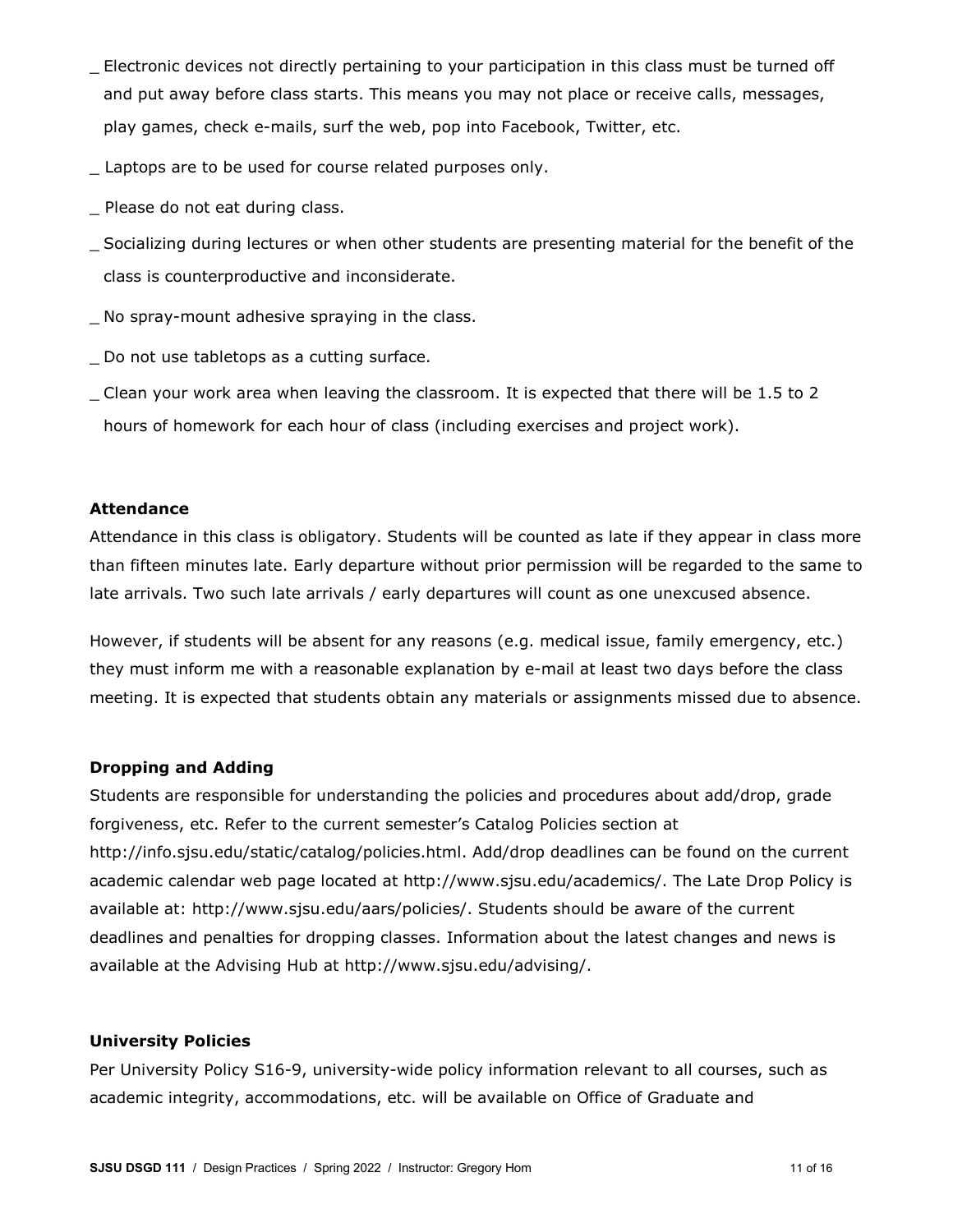- \_ Electronic devices not directly pertaining to your participation in this class must be turned off and put away before class starts. This means you may not place or receive calls, messages, play games, check e-mails, surf the web, pop into Facebook, Twitter, etc.
- Laptops are to be used for course related purposes only.
- \_ Please do not eat during class.
- \_ Socializing during lectures or when other students are presenting material for the benefit of the class is counterproductive and inconsiderate.
- \_ No spray-mount adhesive spraying in the class.
- \_ Do not use tabletops as a cutting surface.
- \_ Clean your work area when leaving the classroom. It is expected that there will be 1.5 to 2 hours of homework for each hour of class (including exercises and project work).

## **Attendance**

Attendance in this class is obligatory. Students will be counted as late if they appear in class more than fifteen minutes late. Early departure without prior permission will be regarded to the same to late arrivals. Two such late arrivals / early departures will count as one unexcused absence.

However, if students will be absent for any reasons (e.g. medical issue, family emergency, etc.) they must inform me with a reasonable explanation by e-mail at least two days before the class meeting. It is expected that students obtain any materials or assignments missed due to absence.

## **Dropping and Adding**

Students are responsible for understanding the policies and procedures about add/drop, grade forgiveness, etc. Refer to the current semester's Catalog Policies section at http://info.sjsu.edu/static/catalog/policies.html. Add/drop deadlines can be found on the current academic calendar web page located at http://www.sjsu.edu/academics/. The Late Drop Policy is available at: http://www.sjsu.edu/aars/policies/. Students should be aware of the current deadlines and penalties for dropping classes. Information about the latest changes and news is available at the Advising Hub at http://www.sjsu.edu/advising/.

## **University Policies**

Per University Policy S16-9, university-wide policy information relevant to all courses, such as academic integrity, accommodations, etc. will be available on Office of Graduate and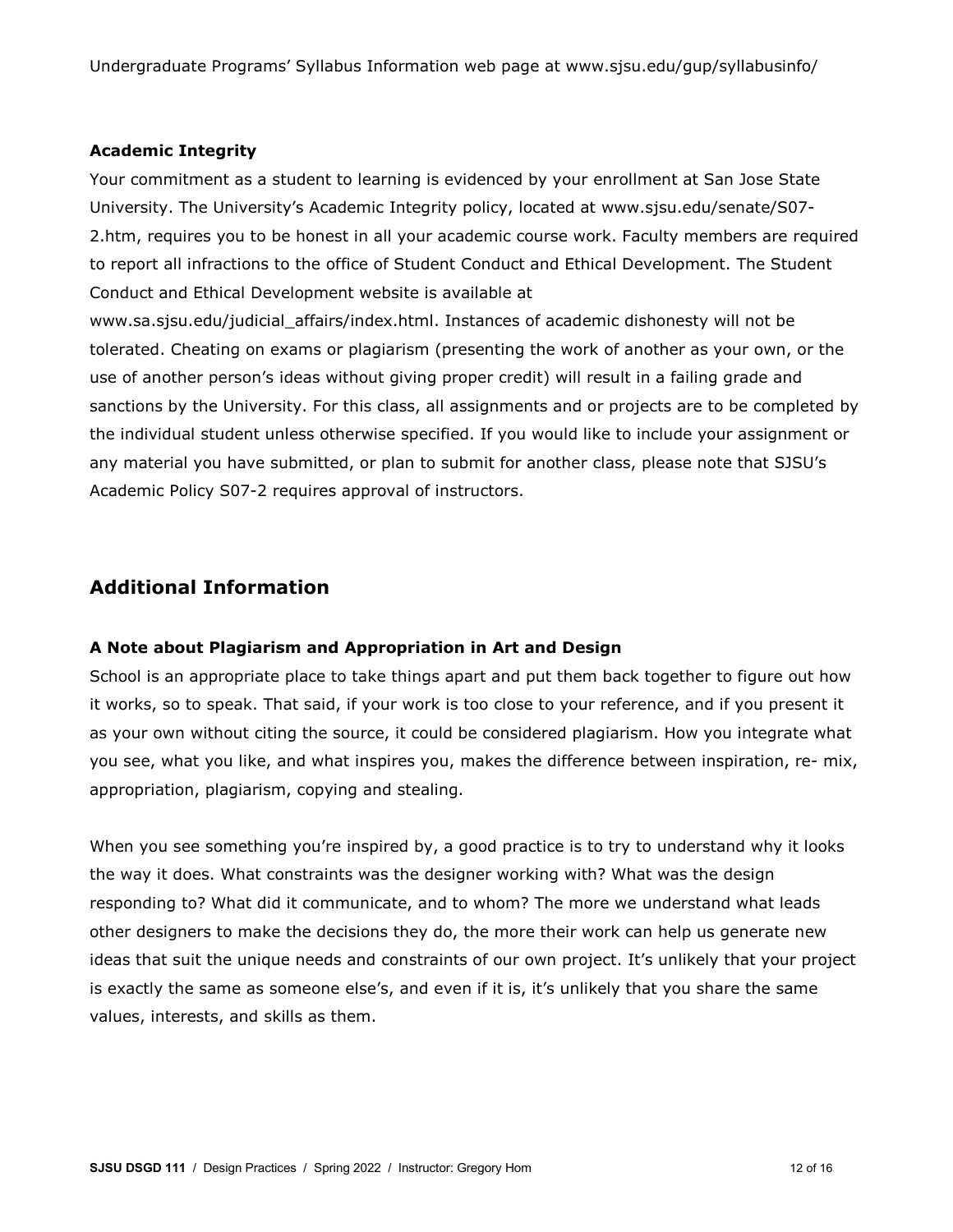Undergraduate Programs' Syllabus Information web page at www.sjsu.edu/gup/syllabusinfo/

## **Academic Integrity**

Your commitment as a student to learning is evidenced by your enrollment at San Jose State University. The University's Academic Integrity policy, located at www.sjsu.edu/senate/S07- 2.htm, requires you to be honest in all your academic course work. Faculty members are required to report all infractions to the office of Student Conduct and Ethical Development. The Student Conduct and Ethical Development website is available at

www.sa.sjsu.edu/judicial\_affairs/index.html. Instances of academic dishonesty will not be tolerated. Cheating on exams or plagiarism (presenting the work of another as your own, or the use of another person's ideas without giving proper credit) will result in a failing grade and sanctions by the University. For this class, all assignments and or projects are to be completed by the individual student unless otherwise specified. If you would like to include your assignment or any material you have submitted, or plan to submit for another class, please note that SJSU's Academic Policy S07-2 requires approval of instructors.

# **Additional Information**

## **A Note about Plagiarism and Appropriation in Art and Design**

School is an appropriate place to take things apart and put them back together to figure out how it works, so to speak. That said, if your work is too close to your reference, and if you present it as your own without citing the source, it could be considered plagiarism. How you integrate what you see, what you like, and what inspires you, makes the difference between inspiration, re- mix, appropriation, plagiarism, copying and stealing.

When you see something you're inspired by, a good practice is to try to understand why it looks the way it does. What constraints was the designer working with? What was the design responding to? What did it communicate, and to whom? The more we understand what leads other designers to make the decisions they do, the more their work can help us generate new ideas that suit the unique needs and constraints of our own project. It's unlikely that your project is exactly the same as someone else's, and even if it is, it's unlikely that you share the same values, interests, and skills as them.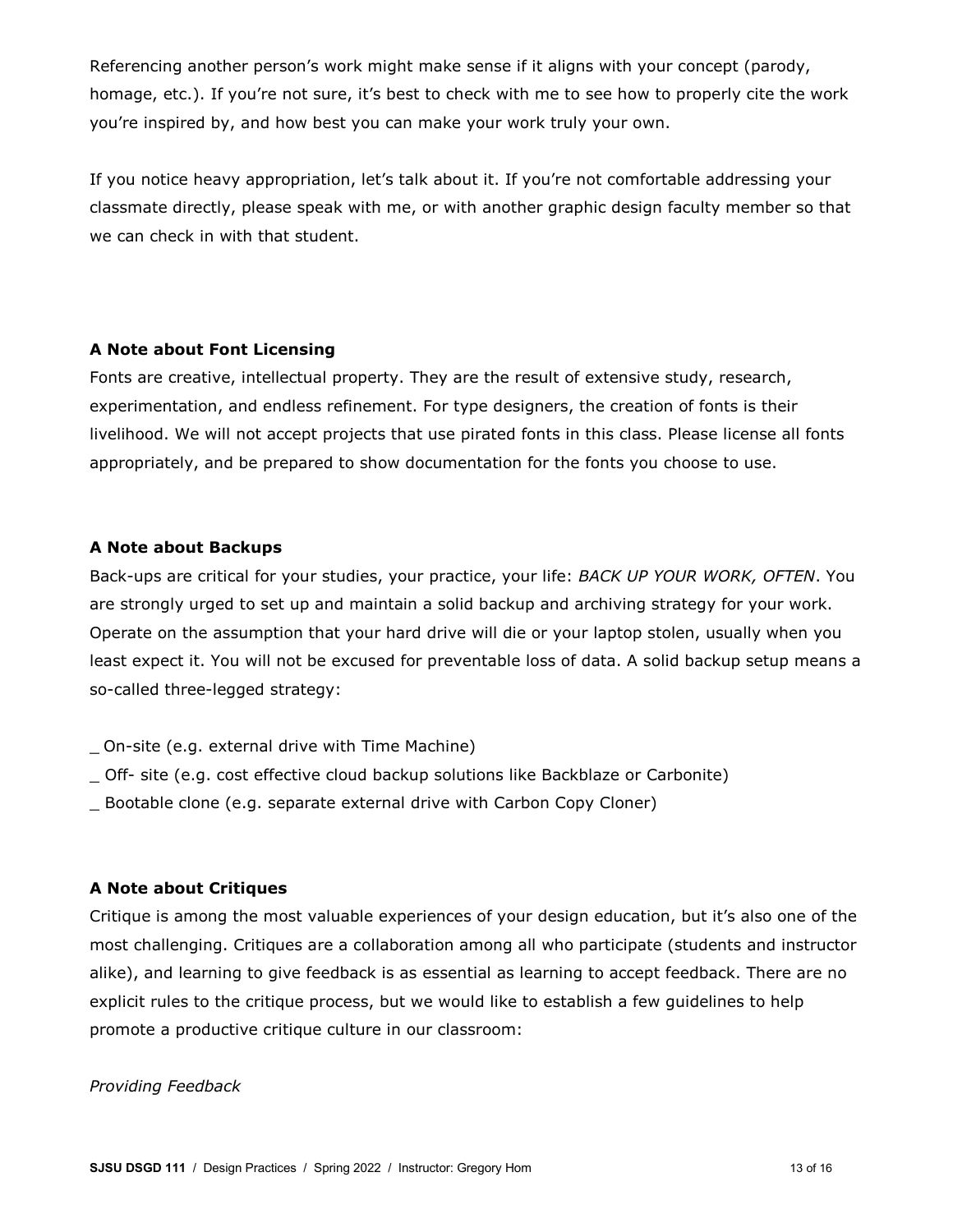Referencing another person's work might make sense if it aligns with your concept (parody, homage, etc.). If you're not sure, it's best to check with me to see how to properly cite the work you're inspired by, and how best you can make your work truly your own.

If you notice heavy appropriation, let's talk about it. If you're not comfortable addressing your classmate directly, please speak with me, or with another graphic design faculty member so that we can check in with that student.

## **A Note about Font Licensing**

Fonts are creative, intellectual property. They are the result of extensive study, research, experimentation, and endless refinement. For type designers, the creation of fonts is their livelihood. We will not accept projects that use pirated fonts in this class. Please license all fonts appropriately, and be prepared to show documentation for the fonts you choose to use.

# **A Note about Backups**

Back-ups are critical for your studies, your practice, your life: *BACK UP YOUR WORK, OFTEN*. You are strongly urged to set up and maintain a solid backup and archiving strategy for your work. Operate on the assumption that your hard drive will die or your laptop stolen, usually when you least expect it. You will not be excused for preventable loss of data. A solid backup setup means a so-called three-legged strategy:

- \_ On-site (e.g. external drive with Time Machine)
- \_ Off- site (e.g. cost effective cloud backup solutions like Backblaze or Carbonite)
- \_ Bootable clone (e.g. separate external drive with Carbon Copy Cloner)

## **A Note about Critiques**

Critique is among the most valuable experiences of your design education, but it's also one of the most challenging. Critiques are a collaboration among all who participate (students and instructor alike), and learning to give feedback is as essential as learning to accept feedback. There are no explicit rules to the critique process, but we would like to establish a few guidelines to help promote a productive critique culture in our classroom:

## *Providing Feedback*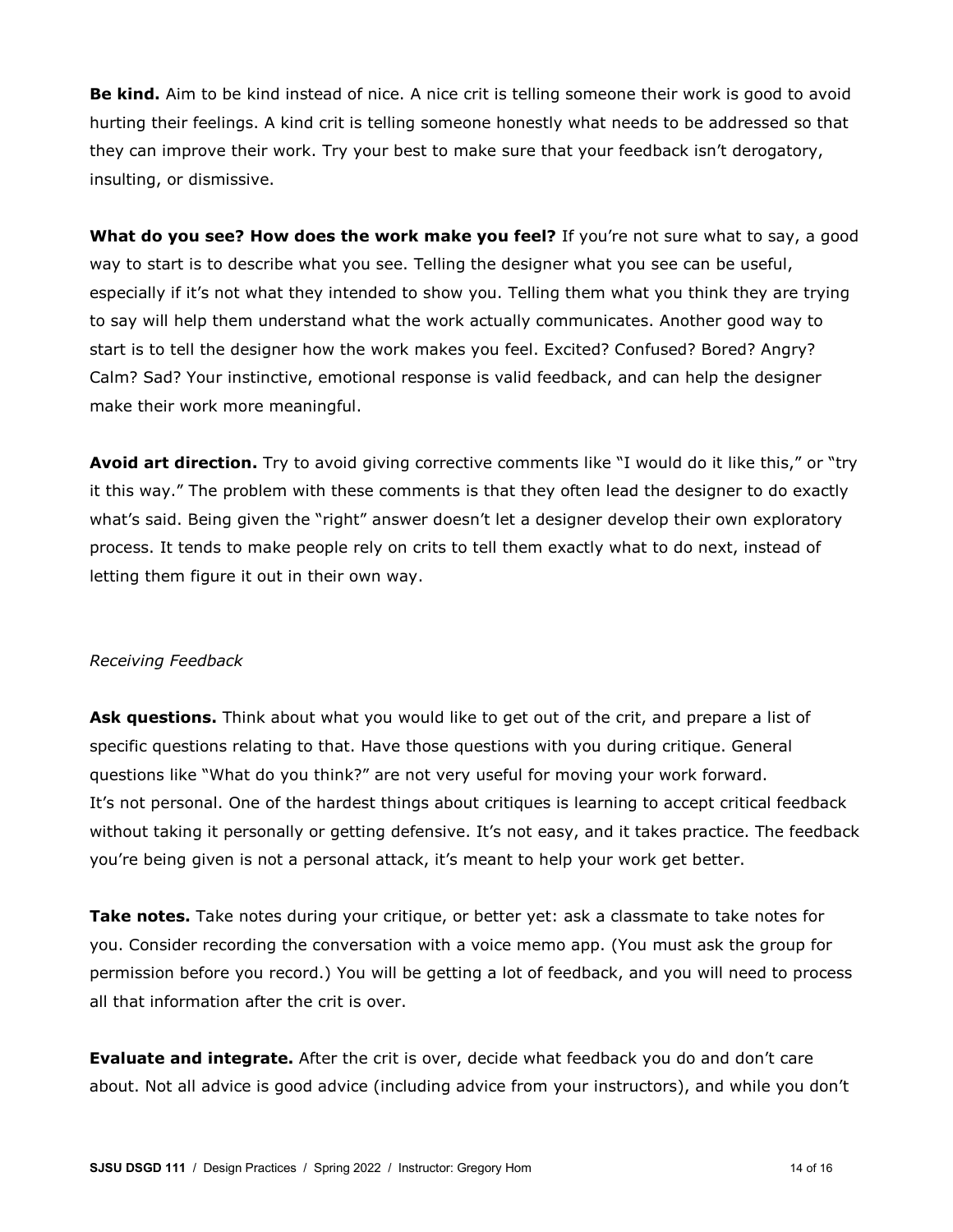**Be kind.** Aim to be kind instead of nice. A nice crit is telling someone their work is good to avoid hurting their feelings. A kind crit is telling someone honestly what needs to be addressed so that they can improve their work. Try your best to make sure that your feedback isn't derogatory, insulting, or dismissive.

**What do you see? How does the work make you feel?** If you're not sure what to say, a good way to start is to describe what you see. Telling the designer what you see can be useful, especially if it's not what they intended to show you. Telling them what you think they are trying to say will help them understand what the work actually communicates. Another good way to start is to tell the designer how the work makes you feel. Excited? Confused? Bored? Angry? Calm? Sad? Your instinctive, emotional response is valid feedback, and can help the designer make their work more meaningful.

**Avoid art direction.** Try to avoid giving corrective comments like "I would do it like this," or "try it this way." The problem with these comments is that they often lead the designer to do exactly what's said. Being given the "right" answer doesn't let a designer develop their own exploratory process. It tends to make people rely on crits to tell them exactly what to do next, instead of letting them figure it out in their own way.

#### *Receiving Feedback*

Ask questions. Think about what you would like to get out of the crit, and prepare a list of specific questions relating to that. Have those questions with you during critique. General questions like "What do you think?" are not very useful for moving your work forward. It's not personal. One of the hardest things about critiques is learning to accept critical feedback without taking it personally or getting defensive. It's not easy, and it takes practice. The feedback you're being given is not a personal attack, it's meant to help your work get better.

**Take notes.** Take notes during your critique, or better yet: ask a classmate to take notes for you. Consider recording the conversation with a voice memo app. (You must ask the group for permission before you record.) You will be getting a lot of feedback, and you will need to process all that information after the crit is over.

**Evaluate and integrate.** After the crit is over, decide what feedback you do and don't care about. Not all advice is good advice (including advice from your instructors), and while you don't